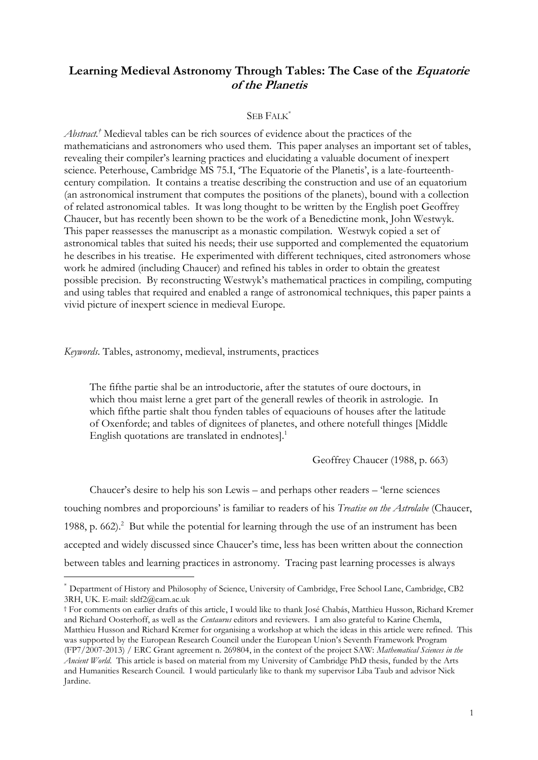# Learning Medieval Astronomy Through Tables: The Case of the *Equatorie* **of the Planetis**

## SEB FALK\*

*Abstract.†* Medieval tables can be rich sources of evidence about the practices of the mathematicians and astronomers who used them. This paper analyses an important set of tables, revealing their compiler's learning practices and elucidating a valuable document of inexpert science. Peterhouse, Cambridge MS 75.I, 'The Equatorie of the Planetis', is a late-fourteenthcentury compilation. It contains a treatise describing the construction and use of an equatorium (an astronomical instrument that computes the positions of the planets), bound with a collection of related astronomical tables. It was long thought to be written by the English poet Geoffrey Chaucer, but has recently been shown to be the work of a Benedictine monk, John Westwyk. This paper reassesses the manuscript as a monastic compilation. Westwyk copied a set of astronomical tables that suited his needs; their use supported and complemented the equatorium he describes in his treatise. He experimented with different techniques, cited astronomers whose work he admired (including Chaucer) and refined his tables in order to obtain the greatest possible precision. By reconstructing Westwyk's mathematical practices in compiling, computing and using tables that required and enabled a range of astronomical techniques, this paper paints a vivid picture of inexpert science in medieval Europe.

*Keywords*. Tables, astronomy, medieval, instruments, practices

 $\overline{a}$ 

The fifthe partie shal be an introductorie, after the statutes of oure doctours, in which thou maist lerne a gret part of the generall rewles of theorik in astrologie. In which fifthe partie shalt thou fynden tables of equaciouns of houses after the latitude of Oxenforde; and tables of dignitees of planetes, and othere notefull thinges [Middle English quotations are translated in endnotes]. 1

Geoffrey Chaucer (1988, p. 663)

Chaucer's desire to help his son Lewis – and perhaps other readers – 'lerne sciences touching nombres and proporciouns' is familiar to readers of his *Treatise on the Astrolabe* (Chaucer, 1988, p. 662). $^2$  But while the potential for learning through the use of an instrument has been accepted and widely discussed since Chaucer's time, less has been written about the connection between tables and learning practices in astronomy. Tracing past learning processes is always

<sup>\*</sup> Department of History and Philosophy of Science, University of Cambridge, Free School Lane, Cambridge, CB2 3RH, UK. E-mail: sldf2@cam.ac.uk

<sup>†</sup> For comments on earlier drafts of this article, I would like to thank José Chabás, Matthieu Husson, Richard Kremer and Richard Oosterhoff, as well as the *Centaurus* editors and reviewers. I am also grateful to Karine Chemla, Matthieu Husson and Richard Kremer for organising a workshop at which the ideas in this article were refined. This was supported by the European Research Council under the European Union's Seventh Framework Program (FP7/2007-2013) / ERC Grant agreement n. 269804, in the context of the project SAW: *Mathematical Sciences in the Ancient World*. This article is based on material from my University of Cambridge PhD thesis, funded by the Arts and Humanities Research Council. I would particularly like to thank my supervisor Liba Taub and advisor Nick Jardine.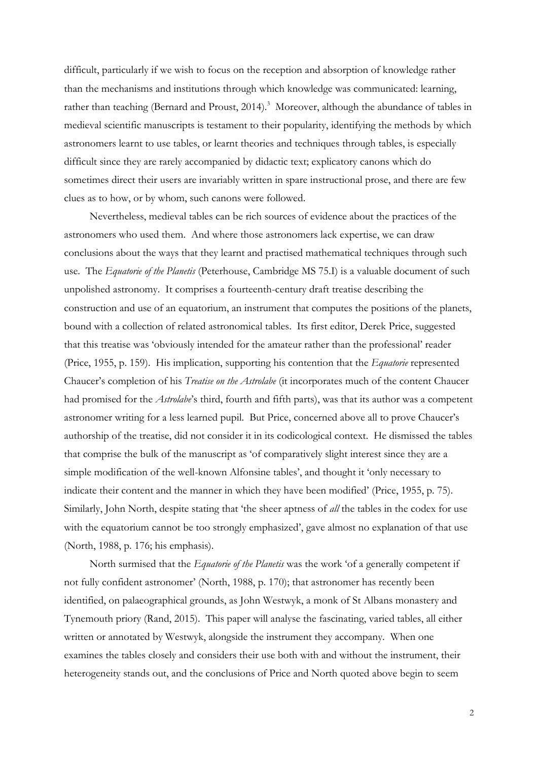difficult, particularly if we wish to focus on the reception and absorption of knowledge rather than the mechanisms and institutions through which knowledge was communicated: learning, rather than teaching (Bernard and Proust, 2014).<sup>3</sup> Moreover, although the abundance of tables in medieval scientific manuscripts is testament to their popularity, identifying the methods by which astronomers learnt to use tables, or learnt theories and techniques through tables, is especially difficult since they are rarely accompanied by didactic text; explicatory canons which do sometimes direct their users are invariably written in spare instructional prose, and there are few clues as to how, or by whom, such canons were followed.

Nevertheless, medieval tables can be rich sources of evidence about the practices of the astronomers who used them. And where those astronomers lack expertise, we can draw conclusions about the ways that they learnt and practised mathematical techniques through such use. The *Equatorie of the Planetis* (Peterhouse, Cambridge MS 75.I) is a valuable document of such unpolished astronomy. It comprises a fourteenth-century draft treatise describing the construction and use of an equatorium, an instrument that computes the positions of the planets, bound with a collection of related astronomical tables. Its first editor, Derek Price, suggested that this treatise was 'obviously intended for the amateur rather than the professional' reader (Price, 1955, p. 159). His implication, supporting his contention that the *Equatorie* represented Chaucer's completion of his *Treatise on the Astrolabe* (it incorporates much of the content Chaucer had promised for the *Astrolabe*'s third, fourth and fifth parts), was that its author was a competent astronomer writing for a less learned pupil. But Price, concerned above all to prove Chaucer's authorship of the treatise, did not consider it in its codicological context. He dismissed the tables that comprise the bulk of the manuscript as 'of comparatively slight interest since they are a simple modification of the well-known Alfonsine tables', and thought it 'only necessary to indicate their content and the manner in which they have been modified' (Price, 1955, p. 75). Similarly, John North, despite stating that 'the sheer aptness of *all* the tables in the codex for use with the equatorium cannot be too strongly emphasized', gave almost no explanation of that use (North, 1988, p. 176; his emphasis).

North surmised that the *Equatorie of the Planetis* was the work 'of a generally competent if not fully confident astronomer' (North, 1988, p. 170); that astronomer has recently been identified, on palaeographical grounds, as John Westwyk, a monk of St Albans monastery and Tynemouth priory (Rand, 2015). This paper will analyse the fascinating, varied tables, all either written or annotated by Westwyk, alongside the instrument they accompany. When one examines the tables closely and considers their use both with and without the instrument, their heterogeneity stands out, and the conclusions of Price and North quoted above begin to seem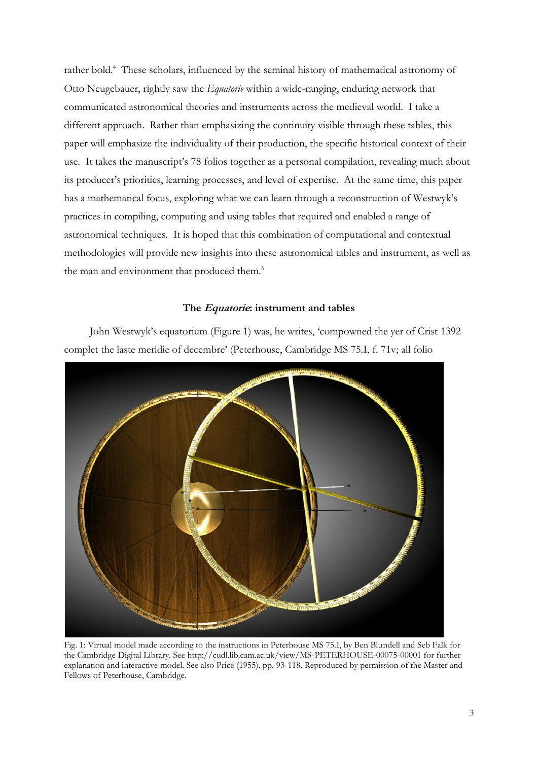rather bold.<sup>4</sup> These scholars, influenced by the seminal history of mathematical astronomy of Otto Neugebauer, rightly saw the *Equatorie* within a wide-ranging, enduring network that communicated astronomical theories and instruments across the medieval world. I take a different approach. Rather than emphasizing the continuity visible through these tables, this paper will emphasize the individuality of their production, the specific historical context of their use. It takes the manuscript's 78 folios together as a personal compilation, revealing much about its producer's priorities, learning processes, and level of expertise. At the same time, this paper has a mathematical focus, exploring what we can learn through a reconstruction of Westwyk's practices in compiling, computing and using tables that required and enabled a range of astronomical techniques. It is hoped that this combination of computational and contextual methodologies will provide new insights into these astronomical tables and instrument, as well as the man and environment that produced them.<sup>5</sup>

## **The Equatorie: instrument and tables**

John Westwyk's equatorium (Figure 1) was, he writes, 'compowned the yer of Crist 1392 complet the laste meridie of decembre' (Peterhouse, Cambridge MS 75.I, f. 71v; all folio



Fig. 1: Virtual model made according to the instructions in Peterhouse MS 75.I, by Ben Blundell and Seb Falk for the Cambridge Digital Library. See http://cudl.lib.cam.ac.uk/view/MS-PETERHOUSE-00075-00001 for further explanation and interactive model. See also Price (1955), pp. 93-118. Reproduced by permission of the Master and Fellows of Peterhouse, Cambridge.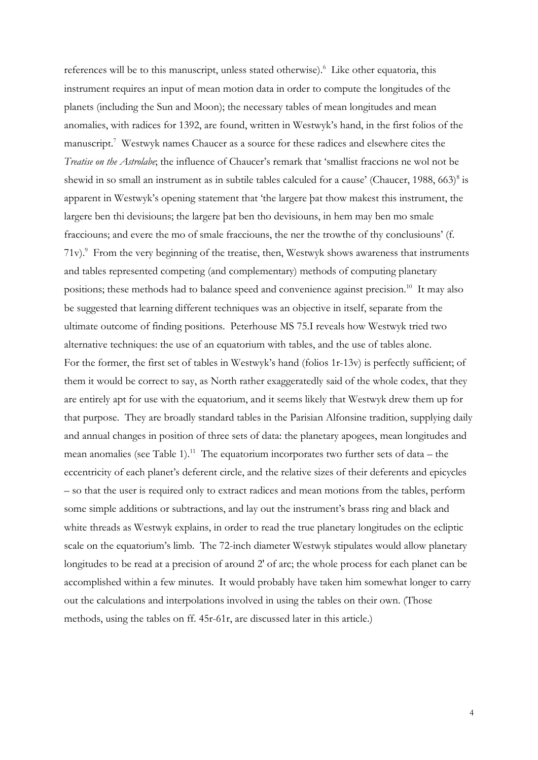references will be to this manuscript, unless stated otherwise). Like other equatoria, this instrument requires an input of mean motion data in order to compute the longitudes of the planets (including the Sun and Moon); the necessary tables of mean longitudes and mean anomalies, with radices for 1392, are found, written in Westwyk's hand, in the first folios of the manuscript.<sup>7</sup> Westwyk names Chaucer as a source for these radices and elsewhere cites the *Treatise on the Astrolabe*; the influence of Chaucer's remark that 'smallist fraccions ne wol not be shewid in so small an instrument as in subtile tables calculed for a cause' (Chaucer,  $1988, 663$ )<sup>8</sup> is apparent in Westwyk's opening statement that 'the largere þat thow makest this instrument, the largere ben thi devisiouns; the largere þat ben tho devisiouns, in hem may ben mo smale fracciouns; and evere the mo of smale fracciouns, the ner the trowthe of thy conclusiouns' (f. 71v).<sup>9</sup> From the very beginning of the treatise, then, Westwyk shows awareness that instruments and tables represented competing (and complementary) methods of computing planetary positions; these methods had to balance speed and convenience against precision.<sup>10</sup> It may also be suggested that learning different techniques was an objective in itself, separate from the ultimate outcome of finding positions. Peterhouse MS 75.I reveals how Westwyk tried two alternative techniques: the use of an equatorium with tables, and the use of tables alone. For the former, the first set of tables in Westwyk's hand (folios 1r-13v) is perfectly sufficient; of them it would be correct to say, as North rather exaggeratedly said of the whole codex, that they are entirely apt for use with the equatorium, and it seems likely that Westwyk drew them up for that purpose. They are broadly standard tables in the Parisian Alfonsine tradition, supplying daily and annual changes in position of three sets of data: the planetary apogees, mean longitudes and mean anomalies (see Table 1).<sup>11</sup> The equatorium incorporates two further sets of data – the eccentricity of each planet's deferent circle, and the relative sizes of their deferents and epicycles – so that the user is required only to extract radices and mean motions from the tables, perform some simple additions or subtractions, and lay out the instrument's brass ring and black and white threads as Westwyk explains, in order to read the true planetary longitudes on the ecliptic scale on the equatorium's limb. The 72-inch diameter Westwyk stipulates would allow planetary longitudes to be read at a precision of around 2' of arc; the whole process for each planet can be accomplished within a few minutes. It would probably have taken him somewhat longer to carry out the calculations and interpolations involved in using the tables on their own. (Those methods, using the tables on ff. 45r-61r, are discussed later in this article.)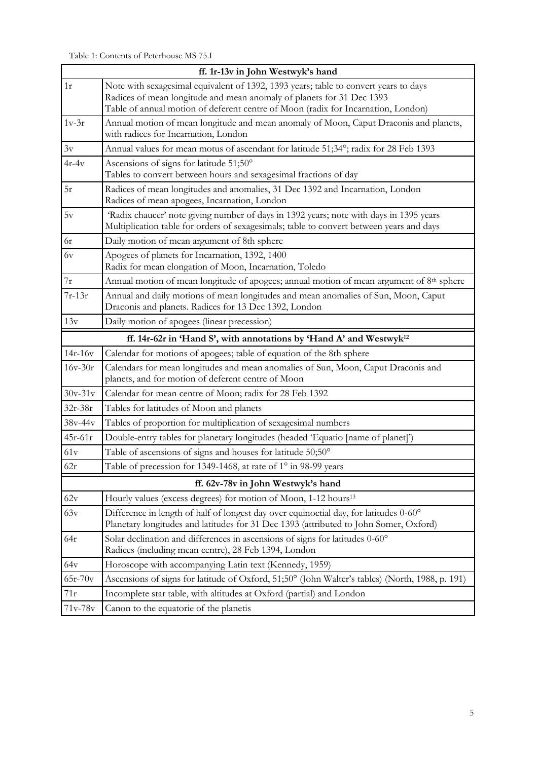Table 1: Contents of Peterhouse MS 75.I

| ff. 1r-13v in John Westwyk's hand |                                                                                                                                                                                                                                                    |  |  |  |  |  |  |
|-----------------------------------|----------------------------------------------------------------------------------------------------------------------------------------------------------------------------------------------------------------------------------------------------|--|--|--|--|--|--|
| 1r                                | Note with sexagesimal equivalent of 1392, 1393 years; table to convert years to days<br>Radices of mean longitude and mean anomaly of planets for 31 Dec 1393<br>Table of annual motion of deferent centre of Moon (radix for Incarnation, London) |  |  |  |  |  |  |
| $1v-3r$                           | Annual motion of mean longitude and mean anomaly of Moon, Caput Draconis and planets,<br>with radices for Incarnation, London                                                                                                                      |  |  |  |  |  |  |
| 3v                                | Annual values for mean motus of ascendant for latitude 51;34°; radix for 28 Feb 1393                                                                                                                                                               |  |  |  |  |  |  |
| $4r-4v$                           | Ascensions of signs for latitude 51;50°<br>Tables to convert between hours and sexagesimal fractions of day                                                                                                                                        |  |  |  |  |  |  |
| 5r                                | Radices of mean longitudes and anomalies, 31 Dec 1392 and Incarnation, London<br>Radices of mean apogees, Incarnation, London                                                                                                                      |  |  |  |  |  |  |
| $5{\rm v}$                        | 'Radix chaucer' note giving number of days in 1392 years; note with days in 1395 years<br>Multiplication table for orders of sexagesimals; table to convert between years and days                                                                 |  |  |  |  |  |  |
| 6r                                | Daily motion of mean argument of 8th sphere                                                                                                                                                                                                        |  |  |  |  |  |  |
| 6v                                | Apogees of planets for Incarnation, 1392, 1400<br>Radix for mean elongation of Moon, Incarnation, Toledo                                                                                                                                           |  |  |  |  |  |  |
| 7r                                | Annual motion of mean longitude of apogees; annual motion of mean argument of 8th sphere                                                                                                                                                           |  |  |  |  |  |  |
| $7r-13r$                          | Annual and daily motions of mean longitudes and mean anomalies of Sun, Moon, Caput<br>Draconis and planets. Radices for 13 Dec 1392, London                                                                                                        |  |  |  |  |  |  |
| 13v                               | Daily motion of apogees (linear precession)                                                                                                                                                                                                        |  |  |  |  |  |  |
|                                   | ff. 14r-62r in 'Hand S', with annotations by 'Hand A' and Westwyk <sup>12</sup>                                                                                                                                                                    |  |  |  |  |  |  |
| $14r-16v$                         | Calendar for motions of apogees; table of equation of the 8th sphere                                                                                                                                                                               |  |  |  |  |  |  |
| $16v-30r$                         | Calendars for mean longitudes and mean anomalies of Sun, Moon, Caput Draconis and<br>planets, and for motion of deferent centre of Moon                                                                                                            |  |  |  |  |  |  |
| $30v-31v$                         | Calendar for mean centre of Moon; radix for 28 Feb 1392                                                                                                                                                                                            |  |  |  |  |  |  |
| $32r-38r$                         | Tables for latitudes of Moon and planets                                                                                                                                                                                                           |  |  |  |  |  |  |
| 38v-44v                           | Tables of proportion for multiplication of sexagesimal numbers                                                                                                                                                                                     |  |  |  |  |  |  |
| $45r-61r$                         | Double-entry tables for planetary longitudes (headed 'Equatio [name of planet]')                                                                                                                                                                   |  |  |  |  |  |  |
| 61v                               | Table of ascensions of signs and houses for latitude 50;50°                                                                                                                                                                                        |  |  |  |  |  |  |
| 62r                               | Table of precession for 1349-1468, at rate of 1° in 98-99 years                                                                                                                                                                                    |  |  |  |  |  |  |
|                                   | ff. 62v-78v in John Westwyk's hand                                                                                                                                                                                                                 |  |  |  |  |  |  |
| 62v                               | Hourly values (excess degrees) for motion of Moon, 1-12 hours <sup>13</sup>                                                                                                                                                                        |  |  |  |  |  |  |
| 63v                               | Difference in length of half of longest day over equinoctial day, for latitudes 0-60°<br>Planetary longitudes and latitudes for 31 Dec 1393 (attributed to John Somer, Oxford)                                                                     |  |  |  |  |  |  |
| 64r                               | Solar declination and differences in ascensions of signs for latitudes 0-60°<br>Radices (including mean centre), 28 Feb 1394, London                                                                                                               |  |  |  |  |  |  |
| 64v                               | Horoscope with accompanying Latin text (Kennedy, 1959)                                                                                                                                                                                             |  |  |  |  |  |  |
| $65r-70v$                         | Ascensions of signs for latitude of Oxford, 51;50° (John Walter's tables) (North, 1988, p. 191)                                                                                                                                                    |  |  |  |  |  |  |
| 71r                               | Incomplete star table, with altitudes at Oxford (partial) and London                                                                                                                                                                               |  |  |  |  |  |  |
| $71v - 78v$                       | Canon to the equatorie of the planetis                                                                                                                                                                                                             |  |  |  |  |  |  |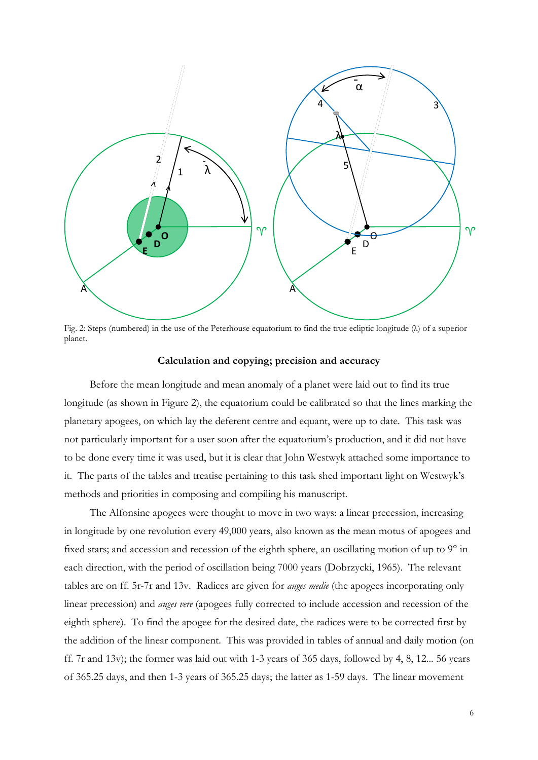

Fig. 2: Steps (numbered) in the use of the Peterhouse equatorium to find the true ecliptic longitude (λ) of a superior planet.

### **Calculation and copying; precision and accuracy**

Before the mean longitude and mean anomaly of a planet were laid out to find its true longitude (as shown in Figure 2), the equatorium could be calibrated so that the lines marking the planetary apogees, on which lay the deferent centre and equant, were up to date. This task was not particularly important for a user soon after the equatorium's production, and it did not have to be done every time it was used, but it is clear that John Westwyk attached some importance to it. The parts of the tables and treatise pertaining to this task shed important light on Westwyk's methods and priorities in composing and compiling his manuscript.

The Alfonsine apogees were thought to move in two ways: a linear precession, increasing in longitude by one revolution every 49,000 years, also known as the mean motus of apogees and fixed stars; and accession and recession of the eighth sphere, an oscillating motion of up to 9° in each direction, with the period of oscillation being 7000 years (Dobrzycki, 1965). The relevant tables are on ff. 5r-7r and 13v. Radices are given for *auges medie* (the apogees incorporating only linear precession) and *auges vere* (apogees fully corrected to include accession and recession of the eighth sphere). To find the apogee for the desired date, the radices were to be corrected first by the addition of the linear component. This was provided in tables of annual and daily motion (on ff. 7r and 13v); the former was laid out with 1-3 years of 365 days, followed by 4, 8, 12... 56 years of 365.25 days, and then 1-3 years of 365.25 days; the latter as 1-59 days. The linear movement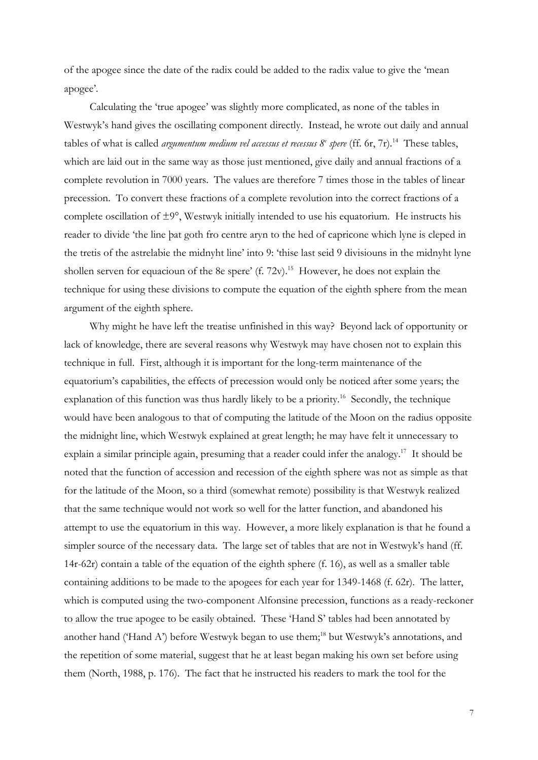of the apogee since the date of the radix could be added to the radix value to give the 'mean apogee'.

Calculating the 'true apogee' was slightly more complicated, as none of the tables in Westwyk's hand gives the oscillating component directly. Instead, he wrote out daily and annual tables of what is called *argumentum medium vel accessus et recessus 8<sup>e</sup> spere* (ff. 6r, 7r).<sup>14</sup> These tables, which are laid out in the same way as those just mentioned, give daily and annual fractions of a complete revolution in 7000 years. The values are therefore 7 times those in the tables of linear precession. To convert these fractions of a complete revolution into the correct fractions of a complete oscillation of  $\pm 9^{\circ}$ , Westwyk initially intended to use his equatorium. He instructs his reader to divide 'the line þat goth fro centre aryn to the hed of capricone which lyne is cleped in the tretis of the astrelabie the midnyht line' into 9: 'thise last seid 9 divisiouns in the midnyht lyne shollen serven for equacioun of the 8e spere' (f. 72v).<sup>15</sup> However, he does not explain the technique for using these divisions to compute the equation of the eighth sphere from the mean argument of the eighth sphere.

Why might he have left the treatise unfinished in this way? Beyond lack of opportunity or lack of knowledge, there are several reasons why Westwyk may have chosen not to explain this technique in full. First, although it is important for the long-term maintenance of the equatorium's capabilities, the effects of precession would only be noticed after some years; the explanation of this function was thus hardly likely to be a priority.<sup>16</sup> Secondly, the technique would have been analogous to that of computing the latitude of the Moon on the radius opposite the midnight line, which Westwyk explained at great length; he may have felt it unnecessary to explain a similar principle again, presuming that a reader could infer the analogy.<sup>17</sup> It should be noted that the function of accession and recession of the eighth sphere was not as simple as that for the latitude of the Moon, so a third (somewhat remote) possibility is that Westwyk realized that the same technique would not work so well for the latter function, and abandoned his attempt to use the equatorium in this way. However, a more likely explanation is that he found a simpler source of the necessary data. The large set of tables that are not in Westwyk's hand (ff. 14r-62r) contain a table of the equation of the eighth sphere (f. 16), as well as a smaller table containing additions to be made to the apogees for each year for 1349-1468 (f. 62r). The latter, which is computed using the two-component Alfonsine precession, functions as a ready-reckoner to allow the true apogee to be easily obtained. These 'Hand S' tables had been annotated by another hand ('Hand A') before Westwyk began to use them;<sup>18</sup> but Westwyk's annotations, and the repetition of some material, suggest that he at least began making his own set before using them (North, 1988, p. 176). The fact that he instructed his readers to mark the tool for the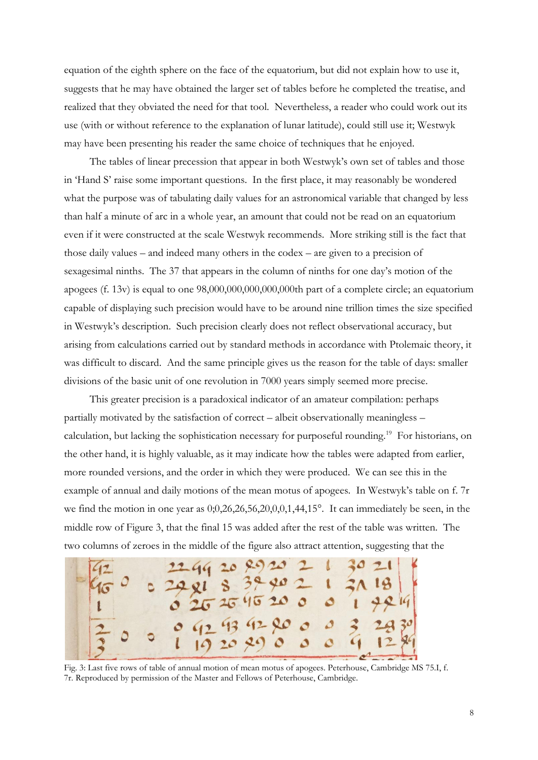equation of the eighth sphere on the face of the equatorium, but did not explain how to use it, suggests that he may have obtained the larger set of tables before he completed the treatise, and realized that they obviated the need for that tool. Nevertheless, a reader who could work out its use (with or without reference to the explanation of lunar latitude), could still use it; Westwyk may have been presenting his reader the same choice of techniques that he enjoyed.

The tables of linear precession that appear in both Westwyk's own set of tables and those in 'Hand S' raise some important questions. In the first place, it may reasonably be wondered what the purpose was of tabulating daily values for an astronomical variable that changed by less than half a minute of arc in a whole year, an amount that could not be read on an equatorium even if it were constructed at the scale Westwyk recommends. More striking still is the fact that those daily values – and indeed many others in the codex – are given to a precision of sexagesimal ninths. The 37 that appears in the column of ninths for one day's motion of the apogees (f. 13v) is equal to one 98,000,000,000,000,000th part of a complete circle; an equatorium capable of displaying such precision would have to be around nine trillion times the size specified in Westwyk's description. Such precision clearly does not reflect observational accuracy, but arising from calculations carried out by standard methods in accordance with Ptolemaic theory, it was difficult to discard. And the same principle gives us the reason for the table of days: smaller divisions of the basic unit of one revolution in 7000 years simply seemed more precise.

This greater precision is a paradoxical indicator of an amateur compilation: perhaps partially motivated by the satisfaction of correct – albeit observationally meaningless – calculation, but lacking the sophistication necessary for purposeful rounding.<sup>19</sup> For historians, on the other hand, it is highly valuable, as it may indicate how the tables were adapted from earlier, more rounded versions, and the order in which they were produced. We can see this in the example of annual and daily motions of the mean motus of apogees. In Westwyk's table on f. 7r we find the motion in one year as  $0;0,26,26,56,20,0,0,1,44,15$ °. It can immediately be seen, in the middle row of Figure 3, that the final 15 was added after the rest of the table was written. The two columns of zeroes in the middle of the figure also attract attention, suggesting that the

Fig. 3: Last five rows of table of annual motion of mean motus of apogees. Peterhouse, Cambridge MS 75.I, f. 7r. Reproduced by permission of the Master and Fellows of Peterhouse, Cambridge.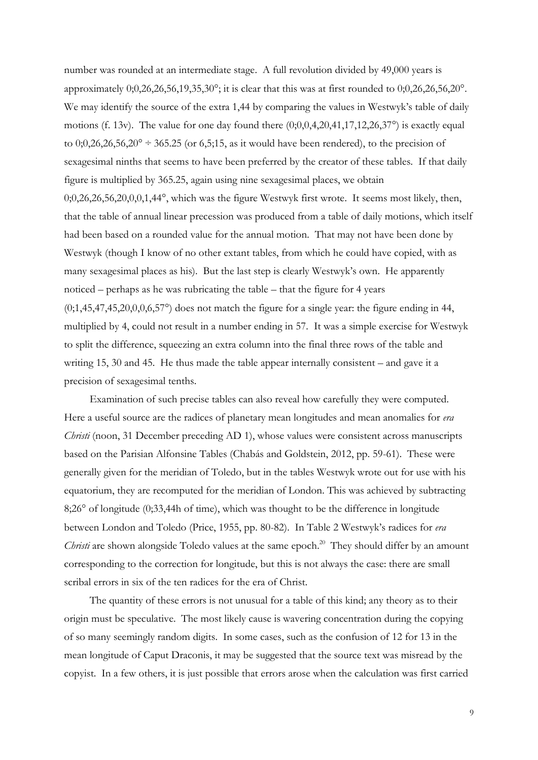number was rounded at an intermediate stage. A full revolution divided by 49,000 years is approximately 0;0,26,26,56,19,35,30°; it is clear that this was at first rounded to 0;0,26,26,56,20°. We may identify the source of the extra 1,44 by comparing the values in Westwyk's table of daily motions (f. 13v). The value for one day found there  $(0,0,0,4,20,41,17,12,26,37^{\circ})$  is exactly equal to 0;0,26,26,56,20 $\degree$  ÷ 365.25 (or 6,5;15, as it would have been rendered), to the precision of sexagesimal ninths that seems to have been preferred by the creator of these tables. If that daily figure is multiplied by 365.25, again using nine sexagesimal places, we obtain 0;0,26,26,56,20,0,0,1,44°, which was the figure Westwyk first wrote. It seems most likely, then, that the table of annual linear precession was produced from a table of daily motions, which itself had been based on a rounded value for the annual motion. That may not have been done by Westwyk (though I know of no other extant tables, from which he could have copied, with as many sexagesimal places as his). But the last step is clearly Westwyk's own. He apparently noticed – perhaps as he was rubricating the table – that the figure for 4 years  $(0,1,45,47,45,20,0,0,6,57^{\circ})$  does not match the figure for a single year: the figure ending in 44, multiplied by 4, could not result in a number ending in 57. It was a simple exercise for Westwyk to split the difference, squeezing an extra column into the final three rows of the table and writing 15, 30 and 45. He thus made the table appear internally consistent – and gave it a precision of sexagesimal tenths.

Examination of such precise tables can also reveal how carefully they were computed. Here a useful source are the radices of planetary mean longitudes and mean anomalies for *era Christi* (noon, 31 December preceding AD 1), whose values were consistent across manuscripts based on the Parisian Alfonsine Tables (Chabás and Goldstein, 2012, pp. 59-61). These were generally given for the meridian of Toledo, but in the tables Westwyk wrote out for use with his equatorium, they are recomputed for the meridian of London. This was achieved by subtracting 8;26° of longitude (0;33,44h of time), which was thought to be the difference in longitude between London and Toledo (Price, 1955, pp. 80-82). In Table 2 Westwyk's radices for *era*  Christi are shown alongside Toledo values at the same epoch.<sup>20</sup> They should differ by an amount corresponding to the correction for longitude, but this is not always the case: there are small scribal errors in six of the ten radices for the era of Christ.

The quantity of these errors is not unusual for a table of this kind; any theory as to their origin must be speculative. The most likely cause is wavering concentration during the copying of so many seemingly random digits. In some cases, such as the confusion of 12 for 13 in the mean longitude of Caput Draconis, it may be suggested that the source text was misread by the copyist. In a few others, it is just possible that errors arose when the calculation was first carried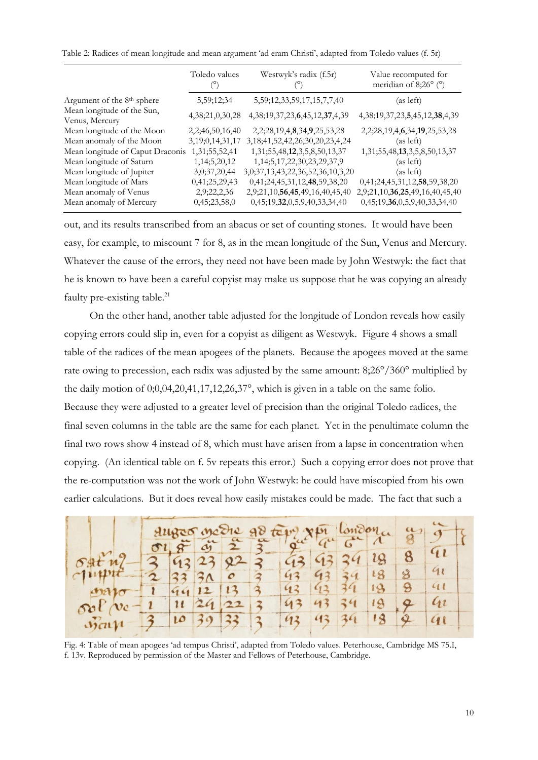Table 2: Radices of mean longitude and mean argument 'ad eram Christi', adapted from Toledo values (f. 5r)

|                                              | Toledo values<br>(°) | Westwyk's radix (f.5r)                   | Value recomputed for<br>meridian of $8;26^{\circ}$ ( $^{\circ}$ ) |
|----------------------------------------------|----------------------|------------------------------------------|-------------------------------------------------------------------|
| Argument of the 8 <sup>th</sup> sphere       | 5,59;12;34           | 5,59;12,33,59,17,15,7,7,40               | (as left)                                                         |
| Mean longitude of the Sun,<br>Venus, Mercury | 4, 38; 21, 0, 30, 28 | 4, 38, 19, 37, 23, 6, 45, 12, 37, 4, 39  | 4, 38, 19, 37, 23, 5, 45, 12, 38, 4, 39                           |
| Mean longitude of the Moon                   | 2,2;46,50,16,40      | 2,2,28,19,4,8,34,9,25,53,28              | 2,2,28,19,4,6,34,19,25,53,28                                      |
| Mean anomaly of the Moon                     | 3, 19; 0, 14, 31, 17 | 3, 18; 41, 52, 42, 26, 30, 20, 23, 4, 24 | (as left)                                                         |
| Mean longitude of Caput Draconis             | 1,31;55,52,41        | 1,31,55,48,12,3,5,8,50,13,37             | 1,31;55,48,13,3,5,8,50,13,37                                      |
| Mean longitude of Saturn                     | 1, 14; 5, 20, 12     | 1, 14; 5, 17, 22, 30, 23, 29, 37, 9      | (as left)                                                         |
| Mean longitude of Jupiter                    | 3,0;37,20,44         | 3,0;37,13,43,22,36,52,36,10,3,20         | (as left)                                                         |
| Mean longitude of Mars                       | 0,41;25,29,43        | 0,41;24,45,31,12,48,59,38,20             | 0,41;24,45,31,12,58,59,38,20                                      |
| Mean anomaly of Venus                        | 2,9,22,2,36          | 2,9;21,10,56,45,49,16,40,45,40           | 2,9;21,10,36,25,49,16,40,45,40                                    |
| Mean anomaly of Mercury                      | 0,45;23,58,0         | 0,45;19,32,0,5,9,40,33,34,40             | 0,45;19,36,0,5,9,40,33,34,40                                      |

out, and its results transcribed from an abacus or set of counting stones. It would have been easy, for example, to miscount 7 for 8, as in the mean longitude of the Sun, Venus and Mercury. Whatever the cause of the errors, they need not have been made by John Westwyk: the fact that he is known to have been a careful copyist may make us suppose that he was copying an already faulty pre-existing table.<sup>21</sup>

On the other hand, another table adjusted for the longitude of London reveals how easily copying errors could slip in, even for a copyist as diligent as Westwyk. Figure 4 shows a small table of the radices of the mean apogees of the planets. Because the apogees moved at the same rate owing to precession, each radix was adjusted by the same amount: 8;26°/360° multiplied by the daily motion of 0;0,04,20,41,17,12,26,37°, which is given in a table on the same folio. Because they were adjusted to a greater level of precision than the original Toledo radices, the final seven columns in the table are the same for each planet. Yet in the penultimate column the final two rows show 4 instead of 8, which must have arisen from a lapse in concentration when copying. (An identical table on f. 5v repeats this error.) Such a copying error does not prove that the re-computation was not the work of John Westwyk: he could have miscopied from his own earlier calculations. But it does reveal how easily mistakes could be made. The fact that such a

|                            |  |  |  |       |            |    |  |                     |                 | 899 |               |
|----------------------------|--|--|--|-------|------------|----|--|---------------------|-----------------|-----|---------------|
|                            |  |  |  |       |            |    |  |                     |                 |     | $a_{l}$       |
|                            |  |  |  |       |            |    |  |                     |                 |     |               |
| $c111111t-2$               |  |  |  | 33300 | $\sqrt{2}$ |    |  | $43$ $43$ $34$ $18$ |                 | 8   | a             |
| $0$ ajo $1$ $99$ $12$ $13$ |  |  |  |       |            |    |  | 43 43 34 18         |                 | 8   | $\alpha$      |
| Sol ve-1 11 24 22 3        |  |  |  |       |            | 43 |  | 43 34               | 18              |     | $\mathcal{U}$ |
| $\frac{3}{4}$ 10 39 33 3   |  |  |  |       |            |    |  |                     | 93 93 34 18 2 9 |     |               |
|                            |  |  |  |       |            |    |  |                     |                 |     |               |

Fig. 4: Table of mean apogees 'ad tempus Christi', adapted from Toledo values. Peterhouse, Cambridge MS 75.I, f. 13v. Reproduced by permission of the Master and Fellows of Peterhouse, Cambridge.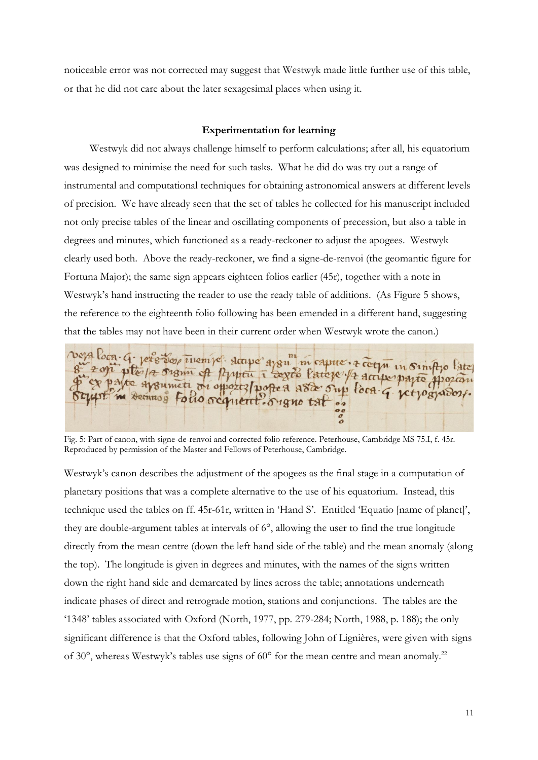noticeable error was not corrected may suggest that Westwyk made little further use of this table, or that he did not care about the later sexagesimal places when using it.

### **Experimentation for learning**

Westwyk did not always challenge himself to perform calculations; after all, his equatorium was designed to minimise the need for such tasks. What he did do was try out a range of instrumental and computational techniques for obtaining astronomical answers at different levels of precision. We have already seen that the set of tables he collected for his manuscript included not only precise tables of the linear and oscillating components of precession, but also a table in degrees and minutes, which functioned as a ready-reckoner to adjust the apogees. Westwyk clearly used both. Above the ready-reckoner, we find a signe-de-renvoi (the geomantic figure for Fortuna Major); the same sign appears eighteen folios earlier (45r), together with a note in Westwyk's hand instructing the reader to use the ready table of additions. (As Figure 5 shows, the reference to the eighteenth folio following has been emended in a different hand, suggesting that the tables may not have been in their current order when Westwyk wrote the canon.)

veya loca. G. jete Dop inempe. accepe ayou m capute. 2 coup in simplyo late t on plo/a orgin of Pyretu i agre latore / accept in Simplyo 18 le payte ayoumeti ou oppoziz portea asse sup l'ocaretrogias Decunoy Fotio ocquent?5 rano tat  $\bullet$ 

Fig. 5: Part of canon, with signe-de-renvoi and corrected folio reference. Peterhouse, Cambridge MS 75.I, f. 45r. Reproduced by permission of the Master and Fellows of Peterhouse, Cambridge.

Westwyk's canon describes the adjustment of the apogees as the final stage in a computation of planetary positions that was a complete alternative to the use of his equatorium. Instead, this technique used the tables on ff. 45r-61r, written in 'Hand S'. Entitled 'Equatio [name of planet]', they are double-argument tables at intervals of 6°, allowing the user to find the true longitude directly from the mean centre (down the left hand side of the table) and the mean anomaly (along the top). The longitude is given in degrees and minutes, with the names of the signs written down the right hand side and demarcated by lines across the table; annotations underneath indicate phases of direct and retrograde motion, stations and conjunctions. The tables are the '1348' tables associated with Oxford (North, 1977, pp. 279-284; North, 1988, p. 188); the only significant difference is that the Oxford tables, following John of Lignières, were given with signs of 30°, whereas Westwyk's tables use signs of 60° for the mean centre and mean anomaly.<sup>22</sup>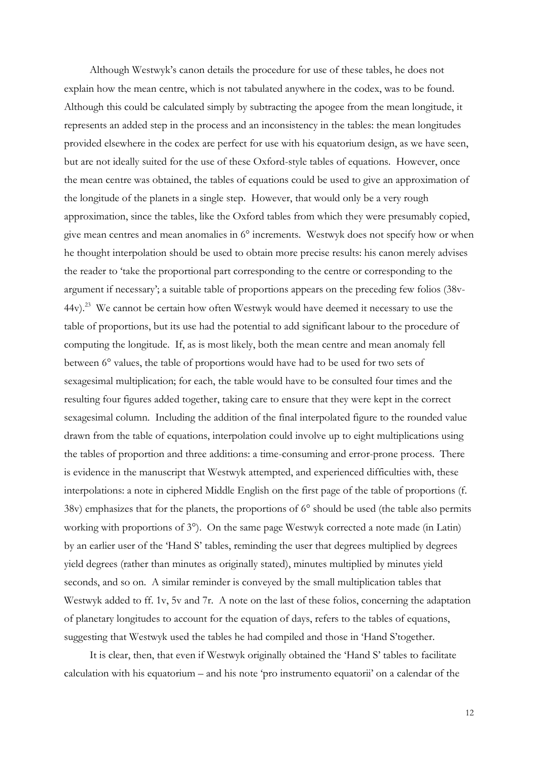Although Westwyk's canon details the procedure for use of these tables, he does not explain how the mean centre, which is not tabulated anywhere in the codex, was to be found. Although this could be calculated simply by subtracting the apogee from the mean longitude, it represents an added step in the process and an inconsistency in the tables: the mean longitudes provided elsewhere in the codex are perfect for use with his equatorium design, as we have seen, but are not ideally suited for the use of these Oxford-style tables of equations. However, once the mean centre was obtained, the tables of equations could be used to give an approximation of the longitude of the planets in a single step. However, that would only be a very rough approximation, since the tables, like the Oxford tables from which they were presumably copied, give mean centres and mean anomalies in 6° increments. Westwyk does not specify how or when he thought interpolation should be used to obtain more precise results: his canon merely advises the reader to 'take the proportional part corresponding to the centre or corresponding to the argument if necessary'; a suitable table of proportions appears on the preceding few folios (38v- $44v$ ).<sup>23</sup> We cannot be certain how often Westwyk would have deemed it necessary to use the table of proportions, but its use had the potential to add significant labour to the procedure of computing the longitude. If, as is most likely, both the mean centre and mean anomaly fell between 6° values, the table of proportions would have had to be used for two sets of sexagesimal multiplication; for each, the table would have to be consulted four times and the resulting four figures added together, taking care to ensure that they were kept in the correct sexagesimal column. Including the addition of the final interpolated figure to the rounded value drawn from the table of equations, interpolation could involve up to eight multiplications using the tables of proportion and three additions: a time-consuming and error-prone process. There is evidence in the manuscript that Westwyk attempted, and experienced difficulties with, these interpolations: a note in ciphered Middle English on the first page of the table of proportions (f. 38v) emphasizes that for the planets, the proportions of 6° should be used (the table also permits working with proportions of 3°). On the same page Westwyk corrected a note made (in Latin) by an earlier user of the 'Hand S' tables, reminding the user that degrees multiplied by degrees yield degrees (rather than minutes as originally stated), minutes multiplied by minutes yield seconds, and so on. A similar reminder is conveyed by the small multiplication tables that Westwyk added to ff. 1y, 5y and 7r. A note on the last of these folios, concerning the adaptation of planetary longitudes to account for the equation of days, refers to the tables of equations, suggesting that Westwyk used the tables he had compiled and those in 'Hand S'together.

It is clear, then, that even if Westwyk originally obtained the 'Hand S' tables to facilitate calculation with his equatorium – and his note 'pro instrumento equatorii' on a calendar of the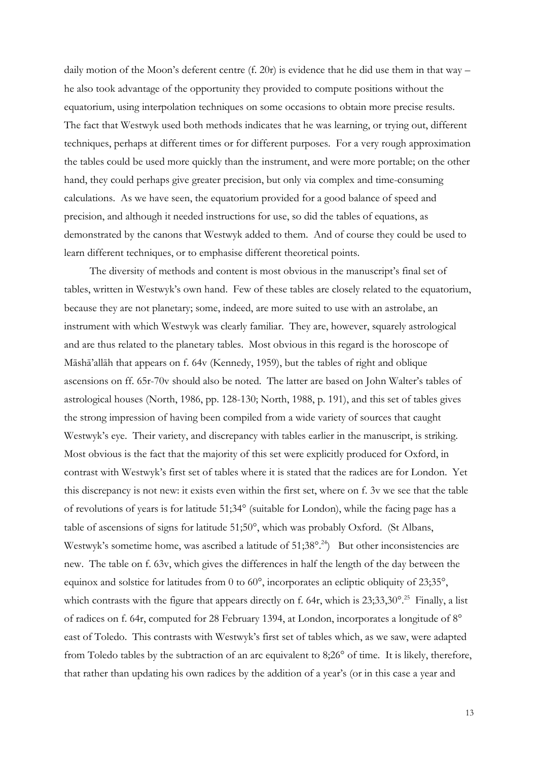daily motion of the Moon's deferent centre (f. 20r) is evidence that he did use them in that way – he also took advantage of the opportunity they provided to compute positions without the equatorium, using interpolation techniques on some occasions to obtain more precise results. The fact that Westwyk used both methods indicates that he was learning, or trying out, different techniques, perhaps at different times or for different purposes. For a very rough approximation the tables could be used more quickly than the instrument, and were more portable; on the other hand, they could perhaps give greater precision, but only via complex and time-consuming calculations. As we have seen, the equatorium provided for a good balance of speed and precision, and although it needed instructions for use, so did the tables of equations, as demonstrated by the canons that Westwyk added to them. And of course they could be used to learn different techniques, or to emphasise different theoretical points.

The diversity of methods and content is most obvious in the manuscript's final set of tables, written in Westwyk's own hand. Few of these tables are closely related to the equatorium, because they are not planetary; some, indeed, are more suited to use with an astrolabe, an instrument with which Westwyk was clearly familiar. They are, however, squarely astrological and are thus related to the planetary tables. Most obvious in this regard is the horoscope of Māshā'allāh that appears on f. 64v (Kennedy, 1959), but the tables of right and oblique ascensions on ff. 65r-70v should also be noted. The latter are based on John Walter's tables of astrological houses (North, 1986, pp. 128-130; North, 1988, p. 191), and this set of tables gives the strong impression of having been compiled from a wide variety of sources that caught Westwyk's eye. Their variety, and discrepancy with tables earlier in the manuscript, is striking. Most obvious is the fact that the majority of this set were explicitly produced for Oxford, in contrast with Westwyk's first set of tables where it is stated that the radices are for London. Yet this discrepancy is not new: it exists even within the first set, where on f. 3v we see that the table of revolutions of years is for latitude 51;34° (suitable for London), while the facing page has a table of ascensions of signs for latitude 51;50°, which was probably Oxford. (St Albans, Westwyk's sometime home, was ascribed a latitude of 51;38°.<sup>24</sup>) But other inconsistencies are new. The table on f. 63v, which gives the differences in half the length of the day between the equinox and solstice for latitudes from 0 to 60°, incorporates an ecliptic obliquity of 23;35°, which contrasts with the figure that appears directly on f. 64r, which is 23;33,30°.<sup>25</sup> Finally, a list of radices on f. 64r, computed for 28 February 1394, at London, incorporates a longitude of 8° east of Toledo. This contrasts with Westwyk's first set of tables which, as we saw, were adapted from Toledo tables by the subtraction of an arc equivalent to 8;26° of time. It is likely, therefore, that rather than updating his own radices by the addition of a year's (or in this case a year and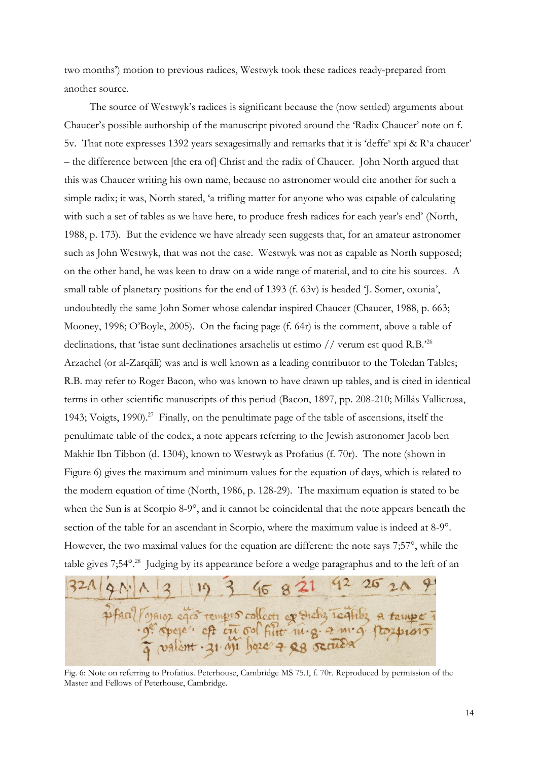two months') motion to previous radices, Westwyk took these radices ready-prepared from another source.

The source of Westwyk's radices is significant because the (now settled) arguments about Chaucer's possible authorship of the manuscript pivoted around the 'Radix Chaucer' note on f. 5v. That note expresses 1392 years sexagesimally and remarks that it is 'deffe<sup>a</sup> xpi & R<sup>x</sup>a chaucer' – the difference between [the era of] Christ and the radix of Chaucer. John North argued that this was Chaucer writing his own name, because no astronomer would cite another for such a simple radix; it was, North stated, 'a trifling matter for anyone who was capable of calculating with such a set of tables as we have here, to produce fresh radices for each year's end' (North, 1988, p. 173). But the evidence we have already seen suggests that, for an amateur astronomer such as John Westwyk, that was not the case. Westwyk was not as capable as North supposed; on the other hand, he was keen to draw on a wide range of material, and to cite his sources. A small table of planetary positions for the end of 1393 (f. 63v) is headed 'J. Somer, oxonia', undoubtedly the same John Somer whose calendar inspired Chaucer (Chaucer, 1988, p. 663; Mooney, 1998; O'Boyle, 2005). On the facing page (f. 64r) is the comment, above a table of declinations, that 'istae sunt declinationes arsachelis ut estimo // verum est quod R.B.'<sup>26</sup> Arzachel (or al-Zarqālī) was and is well known as a leading contributor to the Toledan Tables; R.B. may refer to Roger Bacon, who was known to have drawn up tables, and is cited in identical terms in other scientific manuscripts of this period (Bacon, 1897, pp. 208-210; Millás Vallicrosa, 1943; Voigts, 1990).<sup>27</sup> Finally, on the penultimate page of the table of ascensions, itself the penultimate table of the codex, a note appears referring to the Jewish astronomer Jacob ben Makhir Ibn Tibbon (d. 1304), known to Westwyk as Profatius (f. 70r). The note (shown in Figure 6) gives the maximum and minimum values for the equation of days, which is related to the modern equation of time (North, 1986, p. 128-29). The maximum equation is stated to be when the Sun is at Scorpio 8-9°, and it cannot be coincidental that the note appears beneath the section of the table for an ascendant in Scorpio, where the maximum value is indeed at 8-9°. However, the two maximal values for the equation are different: the note says 7;57°, while the table gives 7;54°.<sup>28</sup> Judging by its appearance before a wedge paragraphus and to the left of an

321 91. 1 3 19 3 45 8 21 42 25 20 Pfaul [quioz eque tempro collecti ex Sichs requise a tampe

Fig. 6: Note on referring to Profatius. Peterhouse, Cambridge MS 75.I, f. 70r. Reproduced by permission of the Master and Fellows of Peterhouse, Cambridge.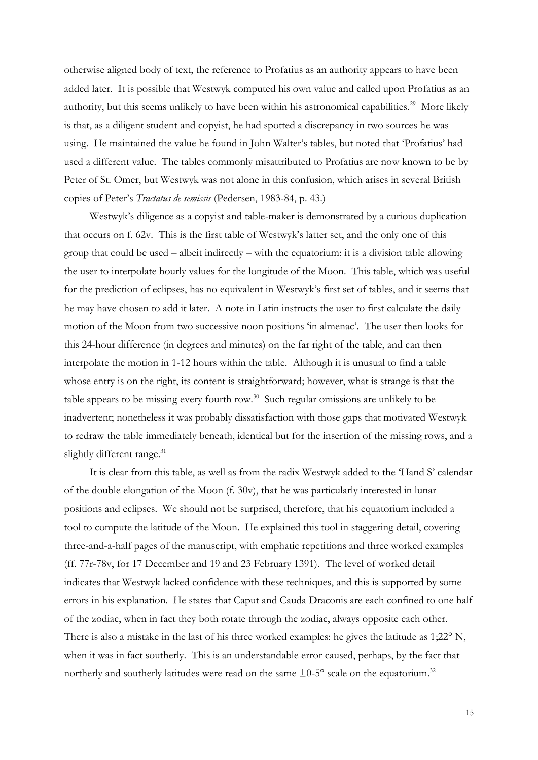otherwise aligned body of text, the reference to Profatius as an authority appears to have been added later. It is possible that Westwyk computed his own value and called upon Profatius as an authority, but this seems unlikely to have been within his astronomical capabilities.<sup>29</sup> More likely is that, as a diligent student and copyist, he had spotted a discrepancy in two sources he was using. He maintained the value he found in John Walter's tables, but noted that 'Profatius' had used a different value. The tables commonly misattributed to Profatius are now known to be by Peter of St. Omer, but Westwyk was not alone in this confusion, which arises in several British copies of Peter's *Tractatus de semissis* (Pedersen, 1983-84, p. 43.)

Westwyk's diligence as a copyist and table-maker is demonstrated by a curious duplication that occurs on f. 62v. This is the first table of Westwyk's latter set, and the only one of this group that could be used – albeit indirectly – with the equatorium: it is a division table allowing the user to interpolate hourly values for the longitude of the Moon. This table, which was useful for the prediction of eclipses, has no equivalent in Westwyk's first set of tables, and it seems that he may have chosen to add it later. A note in Latin instructs the user to first calculate the daily motion of the Moon from two successive noon positions 'in almenac'. The user then looks for this 24-hour difference (in degrees and minutes) on the far right of the table, and can then interpolate the motion in 1-12 hours within the table. Although it is unusual to find a table whose entry is on the right, its content is straightforward; however, what is strange is that the table appears to be missing every fourth row.<sup>30</sup> Such regular omissions are unlikely to be inadvertent; nonetheless it was probably dissatisfaction with those gaps that motivated Westwyk to redraw the table immediately beneath, identical but for the insertion of the missing rows, and a slightly different range.<sup>31</sup>

It is clear from this table, as well as from the radix Westwyk added to the 'Hand S' calendar of the double elongation of the Moon (f. 30v), that he was particularly interested in lunar positions and eclipses. We should not be surprised, therefore, that his equatorium included a tool to compute the latitude of the Moon. He explained this tool in staggering detail, covering three-and-a-half pages of the manuscript, with emphatic repetitions and three worked examples (ff. 77r-78v, for 17 December and 19 and 23 February 1391). The level of worked detail indicates that Westwyk lacked confidence with these techniques, and this is supported by some errors in his explanation. He states that Caput and Cauda Draconis are each confined to one half of the zodiac, when in fact they both rotate through the zodiac, always opposite each other. There is also a mistake in the last of his three worked examples: he gives the latitude as 1;22° N, when it was in fact southerly. This is an understandable error caused, perhaps, by the fact that northerly and southerly latitudes were read on the same  $\pm 0.5^{\circ}$  scale on the equatorium.<sup>32</sup>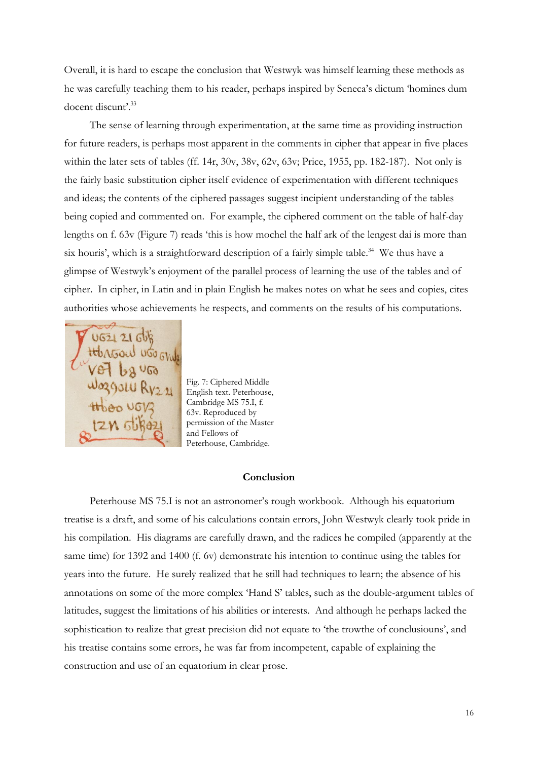Overall, it is hard to escape the conclusion that Westwyk was himself learning these methods as he was carefully teaching them to his reader, perhaps inspired by Seneca's dictum 'homines dum docent discunt'. 33

The sense of learning through experimentation, at the same time as providing instruction for future readers, is perhaps most apparent in the comments in cipher that appear in five places within the later sets of tables (ff. 14r, 30v, 38v, 62v, 63v; Price, 1955, pp. 182-187). Not only is the fairly basic substitution cipher itself evidence of experimentation with different techniques and ideas; the contents of the ciphered passages suggest incipient understanding of the tables being copied and commented on. For example, the ciphered comment on the table of half-day lengths on f. 63v (Figure 7) reads 'this is how mochel the half ark of the lengest dai is more than six houris', which is a straightforward description of a fairly simple table.<sup>34</sup> We thus have a glimpse of Westwyk's enjoyment of the parallel process of learning the use of the tables and of cipher. In cipher, in Latin and in plain English he makes notes on what he sees and copies, cites authorities whose achievements he respects, and comments on the results of his computations.



Fig. 7: Ciphered Middle English text. Peterhouse, Cambridge MS 75.I, f. 63v. Reproduced by permission of the Master and Fellows of Peterhouse, Cambridge.

#### **Conclusion**

Peterhouse MS 75.I is not an astronomer's rough workbook. Although his equatorium treatise is a draft, and some of his calculations contain errors, John Westwyk clearly took pride in his compilation. His diagrams are carefully drawn, and the radices he compiled (apparently at the same time) for 1392 and 1400 (f. 6v) demonstrate his intention to continue using the tables for years into the future. He surely realized that he still had techniques to learn; the absence of his annotations on some of the more complex 'Hand S' tables, such as the double-argument tables of latitudes, suggest the limitations of his abilities or interests. And although he perhaps lacked the sophistication to realize that great precision did not equate to 'the trowthe of conclusiouns', and his treatise contains some errors, he was far from incompetent, capable of explaining the construction and use of an equatorium in clear prose.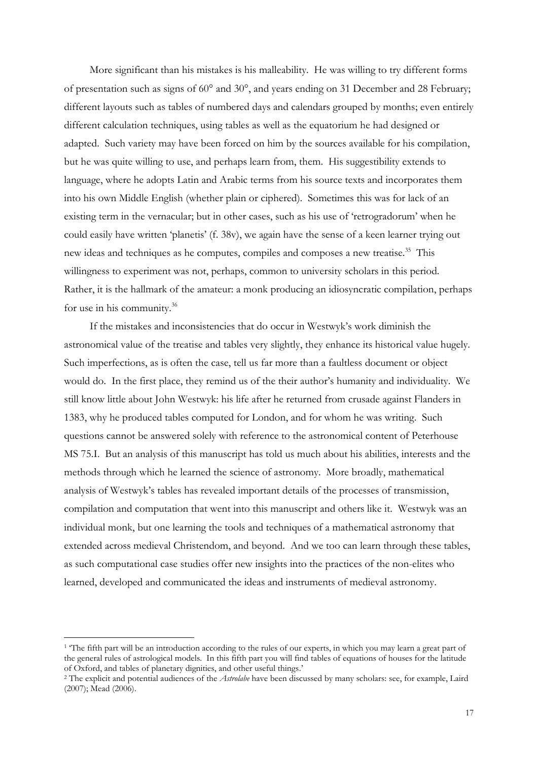More significant than his mistakes is his malleability. He was willing to try different forms of presentation such as signs of 60° and 30°, and years ending on 31 December and 28 February; different layouts such as tables of numbered days and calendars grouped by months; even entirely different calculation techniques, using tables as well as the equatorium he had designed or adapted. Such variety may have been forced on him by the sources available for his compilation, but he was quite willing to use, and perhaps learn from, them. His suggestibility extends to language, where he adopts Latin and Arabic terms from his source texts and incorporates them into his own Middle English (whether plain or ciphered). Sometimes this was for lack of an existing term in the vernacular; but in other cases, such as his use of 'retrogradorum' when he could easily have written 'planetis' (f. 38v), we again have the sense of a keen learner trying out new ideas and techniques as he computes, compiles and composes a new treatise.<sup>35</sup> This willingness to experiment was not, perhaps, common to university scholars in this period. Rather, it is the hallmark of the amateur: a monk producing an idiosyncratic compilation, perhaps for use in his community.<sup>36</sup>

If the mistakes and inconsistencies that do occur in Westwyk's work diminish the astronomical value of the treatise and tables very slightly, they enhance its historical value hugely. Such imperfections, as is often the case, tell us far more than a faultless document or object would do. In the first place, they remind us of the their author's humanity and individuality. We still know little about John Westwyk: his life after he returned from crusade against Flanders in 1383, why he produced tables computed for London, and for whom he was writing. Such questions cannot be answered solely with reference to the astronomical content of Peterhouse MS 75.I. But an analysis of this manuscript has told us much about his abilities, interests and the methods through which he learned the science of astronomy. More broadly, mathematical analysis of Westwyk's tables has revealed important details of the processes of transmission, compilation and computation that went into this manuscript and others like it. Westwyk was an individual monk, but one learning the tools and techniques of a mathematical astronomy that extended across medieval Christendom, and beyond. And we too can learn through these tables, as such computational case studies offer new insights into the practices of the non-elites who learned, developed and communicated the ideas and instruments of medieval astronomy.

 $\overline{a}$ 

<sup>&</sup>lt;sup>1</sup> The fifth part will be an introduction according to the rules of our experts, in which you may learn a great part of the general rules of astrological models. In this fifth part you will find tables of equations of houses for the latitude of Oxford, and tables of planetary dignities, and other useful things.'

<sup>2</sup> The explicit and potential audiences of the *Astrolabe* have been discussed by many scholars: see, for example, Laird (2007); Mead (2006).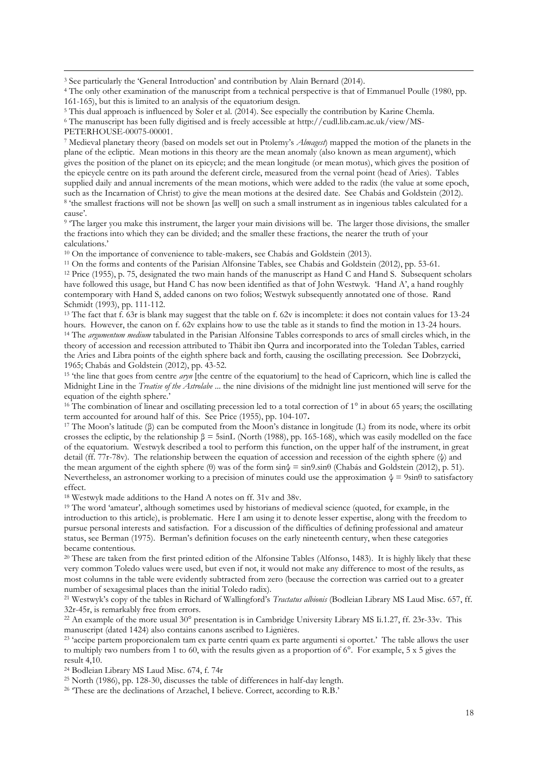<sup>3</sup> See particularly the 'General Introduction' and contribution by Alain Bernard (2014).

<sup>4</sup> The only other examination of the manuscript from a technical perspective is that of Emmanuel Poulle (1980, pp. 161-165), but this is limited to an analysis of the equatorium design.

<sup>6</sup> The manuscript has been fully digitised and is freely accessible at http://cudl.lib.cam.ac.uk/view/MS-

PETERHOUSE-00075-00001.

 $\overline{a}$ 

<sup>7</sup> Medieval planetary theory (based on models set out in Ptolemy's *Almagest*) mapped the motion of the planets in the plane of the ecliptic. Mean motions in this theory are the mean anomaly (also known as mean argument), which gives the position of the planet on its epicycle; and the mean longitude (or mean motus), which gives the position of the epicycle centre on its path around the deferent circle, measured from the vernal point (head of Aries). Tables supplied daily and annual increments of the mean motions, which were added to the radix (the value at some epoch, such as the Incarnation of Christ) to give the mean motions at the desired date. See Chabás and Goldstein (2012). 8 'the smallest fractions will not be shown [as well] on such a small instrument as in ingenious tables calculated for a cause'.

<sup>9</sup> The larger you make this instrument, the larger your main divisions will be. The larger those divisions, the smaller the fractions into which they can be divided; and the smaller these fractions, the nearer the truth of your calculations.'

<sup>10</sup> On the importance of convenience to table-makers, see Chabás and Goldstein (2013).

<sup>11</sup> On the forms and contents of the Parisian Alfonsine Tables, see Chabás and Goldstein (2012), pp. 53-61. <sup>12</sup> Price (1955), p. 75, designated the two main hands of the manuscript as Hand C and Hand S. Subsequent scholars have followed this usage, but Hand C has now been identified as that of John Westwyk. 'Hand A', a hand roughly contemporary with Hand S, added canons on two folios; Westwyk subsequently annotated one of those. Rand Schmidt (1993), pp. 111-112.

<sup>13</sup> The fact that f. 63r is blank may suggest that the table on f. 62v is incomplete: it does not contain values for 13-24 hours. However, the canon on f. 62v explains how to use the table as it stands to find the motion in 13-24 hours. <sup>14</sup> The *argumentum medium* tabulated in the Parisian Alfonsine Tables corresponds to arcs of small circles which, in the theory of accession and recession attributed to Thābit ibn Qurra and incorporated into the Toledan Tables, carried the Aries and Libra points of the eighth sphere back and forth, causing the oscillating precession. See Dobrzycki, 1965; Chabás and Goldstein (2012), pp. 43-52.

<sup>15</sup> 'the line that goes from centre *aryn* [the centre of the equatorium] to the head of Capricorn, which line is called the Midnight Line in the *Treatise of the Astrolabe* ... the nine divisions of the midnight line just mentioned will serve for the equation of the eighth sphere.'

<sup>16</sup> The combination of linear and oscillating precession led to a total correction of  $1^\circ$  in about 65 years; the oscillating term accounted for around half of this. See Price (1955), pp. 104-107**.**

<sup>17</sup> The Moon's latitude (β) can be computed from the Moon's distance in longitude (L) from its node, where its orbit crosses the ecliptic, by the relationship  $\beta = 5\sin L$  (North (1988), pp. 165-168), which was easily modelled on the face of the equatorium. Westwyk described a tool to perform this function, on the upper half of the instrument, in great detail (ff. 77r-78v). The relationship between the equation of accession and recession of the eighth sphere (ψ) and the mean argument of the eighth sphere (θ) was of the form sinψ = sin9.sinθ (Chabás and Goldstein (2012), p. 51). Nevertheless, an astronomer working to a precision of minutes could use the approximation  $\psi = 9\sin\theta$  to satisfactory effect.

<sup>18</sup> Westwyk made additions to the Hand A notes on ff. 31v and 38v.

<sup>19</sup> The word 'amateur', although sometimes used by historians of medieval science (quoted, for example, in the introduction to this article), is problematic. Here I am using it to denote lesser expertise, along with the freedom to pursue personal interests and satisfaction. For a discussion of the difficulties of defining professional and amateur status, see Berman (1975). Berman's definition focuses on the early nineteenth century, when these categories became contentious.

<sup>20</sup> These are taken from the first printed edition of the Alfonsine Tables (Alfonso, 1483). It is highly likely that these very common Toledo values were used, but even if not, it would not make any difference to most of the results, as most columns in the table were evidently subtracted from zero (because the correction was carried out to a greater number of sexagesimal places than the initial Toledo radix).

<sup>21</sup> Westwyk's copy of the tables in Richard of Wallingford's *Tractatus albionis* (Bodleian Library MS Laud Misc. 657, ff. 32r-45r, is remarkably free from errors.

<sup>22</sup> An example of the more usual 30° presentation is in Cambridge University Library MS Ii.1.27, ff. 23r-33v. This manuscript (dated 1424) also contains canons ascribed to Lignières.

<sup>23</sup> 'accipe partem proporcionalem tam ex parte centri quam ex parte argumenti si oportet.' The table allows the user to multiply two numbers from 1 to 60, with the results given as a proportion of 6°. For example, 5 x 5 gives the result 4,10.

<sup>24</sup> Bodleian Library MS Laud Misc. 674, f. 74r

 $25$  North (1986), pp. 128-30, discusses the table of differences in half-day length.

<sup>26</sup> 'These are the declinations of Arzachel, I believe. Correct, according to R.B.'

<sup>5</sup> This dual approach is influenced by Soler et al. (2014). See especially the contribution by Karine Chemla.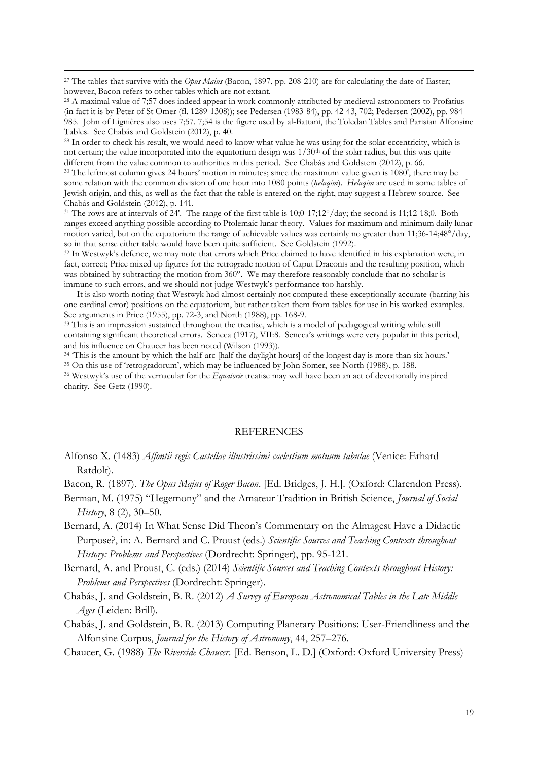<sup>27</sup> The tables that survive with the *Opus Maius* (Bacon, 1897, pp. 208-210) are for calculating the date of Easter; however, Bacon refers to other tables which are not extant.

 $\overline{a}$ 

<sup>29</sup> In order to check his result, we would need to know what value he was using for the solar eccentricity, which is not certain; the value incorporated into the equatorium design was  $1/30<sup>th</sup>$  of the solar radius, but this was quite different from the value common to authorities in this period. See Chabás and Goldstein (2012), p. 66.

<sup>30</sup> The leftmost column gives 24 hours' motion in minutes; since the maximum value given is 1080', there may be some relation with the common division of one hour into 1080 points (*ḥelaqim*). *Helaqim* are used in some tables of Jewish origin, and this, as well as the fact that the table is entered on the right, may suggest a Hebrew source. See Chabás and Goldstein (2012), p. 141.

<sup>31</sup> The rows are at intervals of 24'. The range of the first table is 10;0-17;12°/day; the second is 11;12-18;0. Both ranges exceed anything possible according to Ptolemaic lunar theory. Values for maximum and minimum daily lunar motion varied, but on the equatorium the range of achievable values was certainly no greater than 11;36-14;48°/day, so in that sense either table would have been quite sufficient. See Goldstein (1992).

<sup>32</sup> In Westwyk's defence, we may note that errors which Price claimed to have identified in his explanation were, in fact, correct: Price mixed up figures for the retrograde motion of Caput Draconis and the resulting position, which was obtained by subtracting the motion from 360°. We may therefore reasonably conclude that no scholar is immune to such errors, and we should not judge Westwyk's performance too harshly.

It is also worth noting that Westwyk had almost certainly not computed these exceptionally accurate (barring his one cardinal error) positions on the equatorium, but rather taken them from tables for use in his worked examples. See arguments in Price (1955), pp. 72-3, and North (1988), pp. 168-9.

<sup>33</sup> This is an impression sustained throughout the treatise, which is a model of pedagogical writing while still containing significant theoretical errors. Seneca (1917), VII:8. Seneca's writings were very popular in this period, and his influence on Chaucer has been noted (Wilson (1993)).

<sup>34</sup> 'This is the amount by which the half-arc [half the daylight hours] of the longest day is more than six hours.' <sup>35</sup> On this use of 'retrogradorum', which may be influenced by John Somer, see North (1988), p. 188.

<sup>36</sup> Westwyk's use of the vernacular for the *Equatorie* treatise may well have been an act of devotionally inspired charity. See Getz (1990).

#### REFERENCES

Alfonso X. (1483) *Alfontii regis Castellae illustrissimi caelestium motuum tabulae* (Venice: Erhard Ratdolt).

Bacon, R. (1897). *The Opus Majus of Roger Bacon*. [Ed. Bridges, J. H.]. (Oxford: Clarendon Press).

- Berman, M. (1975) "Hegemony" and the Amateur Tradition in British Science, *Journal of Social History*, 8 (2), 30–50.
- Bernard, A. (2014) In What Sense Did Theon's Commentary on the Almagest Have a Didactic Purpose?, in: A. Bernard and C. Proust (eds.) *Scientific Sources and Teaching Contexts throughout History: Problems and Perspectives* (Dordrecht: Springer), pp. 95-121.
- Bernard, A. and Proust, C. (eds.) (2014) *Scientific Sources and Teaching Contexts throughout History: Problems and Perspectives* (Dordrecht: Springer).
- Chabás, J. and Goldstein, B. R. (2012) *A Survey of European Astronomical Tables in the Late Middle Ages* (Leiden: Brill).
- Chabás, J. and Goldstein, B. R. (2013) Computing Planetary Positions: User-Friendliness and the Alfonsine Corpus, *Journal for the History of Astronomy*, 44, 257–276.
- Chaucer, G. (1988) *The Riverside Chaucer*. [Ed. Benson, L. D.] (Oxford: Oxford University Press)

<sup>28</sup> A maximal value of 7;57 does indeed appear in work commonly attributed by medieval astronomers to Profatius (in fact it is by Peter of St Omer (fl. 1289-1308)); see Pedersen (1983-84), pp. 42-43, 702; Pedersen (2002), pp. 984- 985. John of Lignières also uses 7;57. 7;54 is the figure used by al-Battani, the Toledan Tables and Parisian Alfonsine Tables. See Chabás and Goldstein (2012), p. 40.